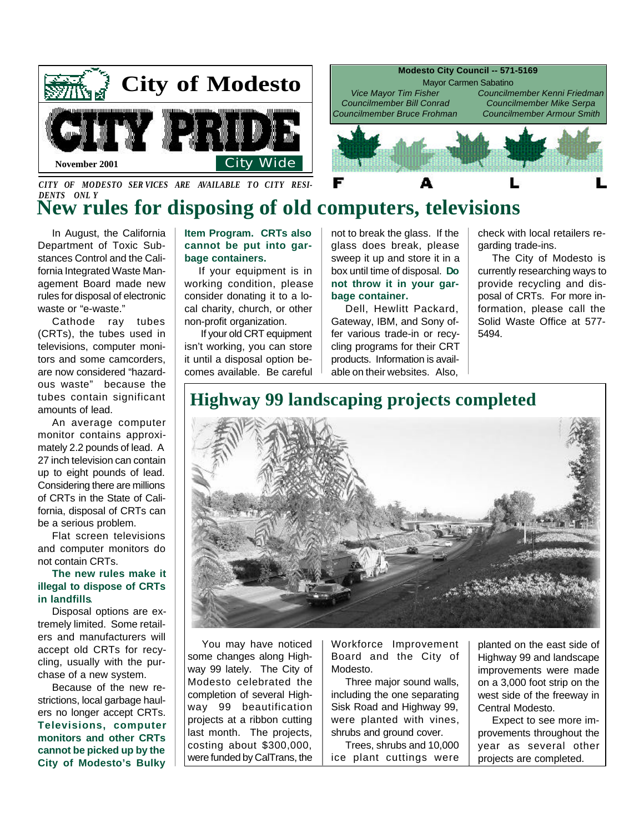

CITY OF MODESTO SERVICES ARE AVAILABLE TO CITY RESI-*DENTS ONL Y*

# **New rules for disposing of old computers, televisions**

In August, the California Department of Toxic Substances Control and the California Integrated Waste Management Board made new rules for disposal of electronic waste or "e-waste."

Cathode ray tubes (CRTs), the tubes used in televisions, computer monitors and some camcorders, are now considered "hazardous waste" because the tubes contain significant amounts of lead.

An average computer monitor contains approximately 2.2 pounds of lead. A 27 inch television can contain up to eight pounds of lead. Considering there are millions of CRTs in the State of California, disposal of CRTs can be a serious problem.

Flat screen televisions and computer monitors do not contain CRTs.

#### **The new rules make it illegal to dispose of CRTs in landfills**.

Disposal options are extremely limited. Some retailers and manufacturers will accept old CRTs for recycling, usually with the purchase of a new system.

Because of the new restrictions, local garbage haulers no longer accept CRTs. **Televisions, computer monitors and other CRTs cannot be picked up by the City of Modesto's Bulky** **Item Program. CRTs also cannot be put into garbage containers.**

If your equipment is in working condition, please consider donating it to a local charity, church, or other non-profit organization.

 If your old CRT equipment isn't working, you can store it until a disposal option becomes available. Be careful

not to break the glass. If the glass does break, please sweep it up and store it in a box until time of disposal. **Do not throw it in your garbage container.**

Dell, Hewlitt Packard, Gateway, IBM, and Sony offer various trade-in or recycling programs for their CRT products. Information is available on their websites. Also,

check with local retailers regarding trade-ins.

The City of Modesto is currently researching ways to provide recycling and disposal of CRTs. For more information, please call the Solid Waste Office at 577- 5494.

# **Highway 99 landscaping projects completed**



You may have noticed some changes along Highway 99 lately. The City of Modesto celebrated the completion of several Highway 99 beautification projects at a ribbon cutting last month. The projects, costing about \$300,000, were funded by CalTrans, the

Workforce Improvement Board and the City of Modesto.

Three major sound walls, including the one separating Sisk Road and Highway 99, were planted with vines, shrubs and ground cover.

Trees, shrubs and 10,000 ice plant cuttings were

planted on the east side of Highway 99 and landscape improvements were made on a 3,000 foot strip on the west side of the freeway in Central Modesto.

Expect to see more improvements throughout the year as several other projects are completed.



**Modesto City Council -- 571-5169** 

Mayor Carmen Sabatino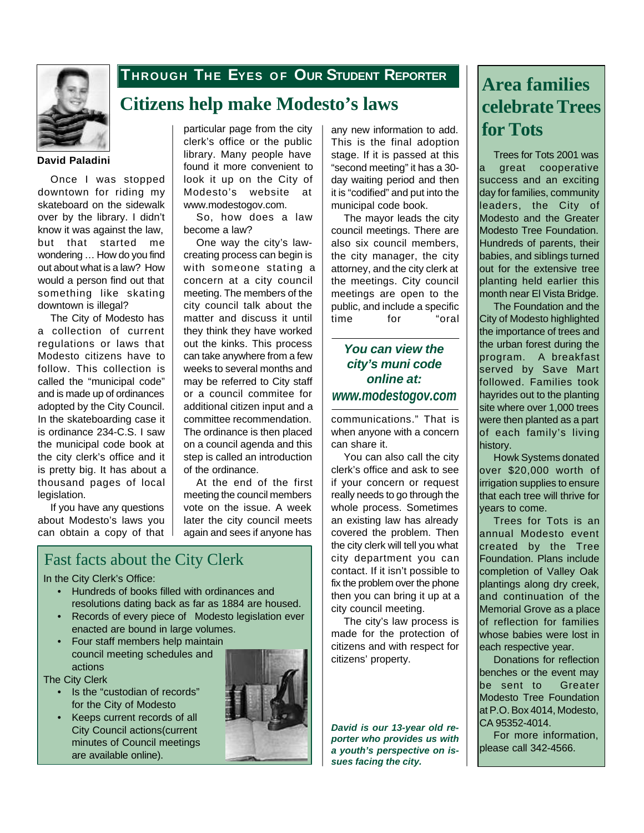

## **THROUGH THE EYES O F OUR STUDENT REPORTER**

## **Citizens help make Modesto's laws**

#### **David Paladini**

Once I was stopped downtown for riding my skateboard on the sidewalk over by the library. I didn't know it was against the law, but that started me wondering … How do you find out about what is a law? How would a person find out that something like skating downtown is illegal?

The City of Modesto has a collection of current regulations or laws that Modesto citizens have to follow. This collection is called the "municipal code" and is made up of ordinances adopted by the City Council. In the skateboarding case it is ordinance 234-C.S. I saw the municipal code book at the city clerk's office and it is pretty big. It has about a thousand pages of local legislation.

If you have any questions about Modesto's laws you can obtain a copy of that particular page from the city clerk's office or the public library. Many people have found it more convenient to look it up on the City of Modesto's website at www.modestogov.com.

So, how does a law become a law?

One way the city's lawcreating process can begin is with someone stating a concern at a city council meeting. The members of the city council talk about the matter and discuss it until they think they have worked out the kinks. This process can take anywhere from a few weeks to several months and may be referred to City staff or a council commitee for additional citizen input and a committee recommendation. The ordinance is then placed on a council agenda and this step is called an introduction of the ordinance.

At the end of the first meeting the council members vote on the issue. A week later the city council meets again and sees if anyone has

## Fast facts about the City Clerk

In the City Clerk's Office:

- Hundreds of books filled with ordinances and resolutions dating back as far as 1884 are housed.
- Records of every piece of Modesto legislation ever enacted are bound in large volumes.
- Four staff members help maintain council meeting schedules and actions

The City Clerk

- Is the "custodian of records" for the City of Modesto
- Keeps current records of all City Council actions(current minutes of Council meetings are available online).



any new information to add. **for Tots** This is the final adoption stage. If it is passed at this "second meeting" it has a 30 day waiting period and then it is "codified" and put into the municipal code book.

The mayor leads the city council meetings. There are also six council members, the city manager, the city attorney, and the city clerk at the meetings. City council meetings are open to the public, and include a specific time for "oral

### *You can view the city's muni code online at: www.modestogov.com*

communications." That is when anyone with a concern can share it.

You can also call the city clerk's office and ask to see if your concern or request really needs to go through the whole process. Sometimes an existing law has already covered the problem. Then the city clerk will tell you what city department you can contact. If it isn't possible to fix the problem over the phone then you can bring it up at a city council meeting.

The city's law process is made for the protection of citizens and with respect for citizens' property.

*David is our 13-year old reporter who provides us with a youth's perspective on issues facing the city.*

# **Area families celebrate Trees**

Trees for Tots 2001 was a great cooperative success and an exciting day for families, community leaders, the City of Modesto and the Greater Modesto Tree Foundation. Hundreds of parents, their babies, and siblings turned out for the extensive tree planting held earlier this month near El Vista Bridge.

The Foundation and the City of Modesto highlighted the importance of trees and the urban forest during the program. A breakfast served by Save Mart followed. Families took hayrides out to the planting site where over 1,000 trees were then planted as a part of each family's living history.

Howk Systems donated over \$20,000 worth of irrigation supplies to ensure that each tree will thrive for vears to come.

Trees for Tots is an annual Modesto event created by the Tree Foundation. Plans include completion of Valley Oak plantings along dry creek, and continuation of the Memorial Grove as a place of reflection for families whose babies were lost in each respective year.

Donations for reflection benches or the event may be sent to Greater Modesto Tree Foundation at P.O. Box 4014, Modesto, CA 95352-4014.

For more information, please call 342-4566.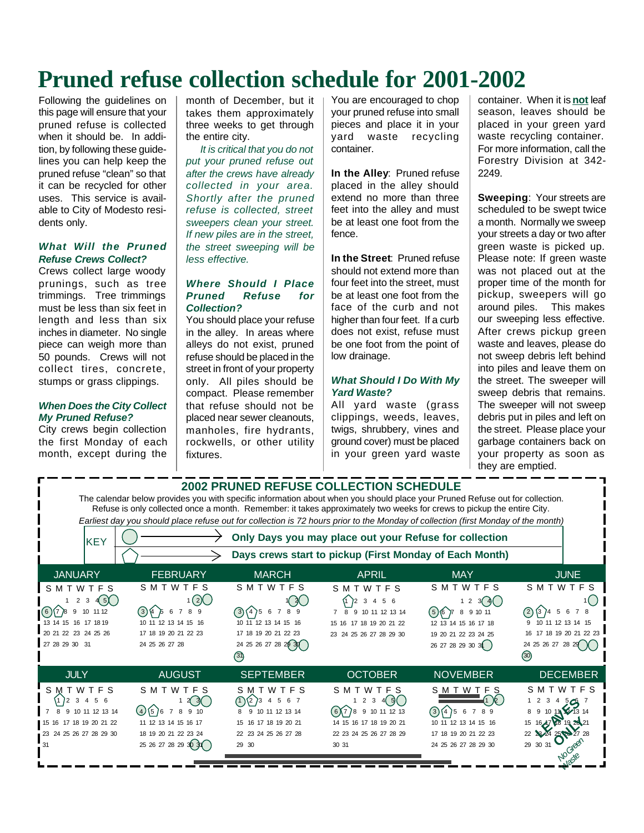# **Pruned refuse collection schedule for 2001-2002**

Following the guidelines on this page will ensure that your pruned refuse is collected when it should be. In addition, by following these guidelines you can help keep the pruned refuse "clean" so that it can be recycled for other uses. This service is available to City of Modesto residents only.

#### *What Will the Pruned Refuse Crews Collect?*

Crews collect large woody prunings, such as tree trimmings. Tree trimmings must be less than six feet in length and less than six inches in diameter. No single piece can weigh more than 50 pounds. Crews will not collect tires, concrete, stumps or grass clippings.

#### *When Does the City Collect My Pruned Refuse?*

City crews begin collection the first Monday of each month, except during the

month of December, but it takes them approximately three weeks to get through the entire city.

*It is critical that you do not put your pruned refuse out after the crews have already collected in your area. Shortly after the pruned refuse is collected, street sweepers clean your street. If new piles are in the street, the street sweeping will be less effective.*

#### *Where Should I Place Pruned Refuse for Collection?*

You should place your refuse in the alley. In areas where alleys do not exist, pruned refuse should be placed in the street in front of your property only. All piles should be compact. Please remember that refuse should not be placed near sewer cleanouts, manholes, fire hydrants, rockwells, or other utility fixtures.

You are encouraged to chop your pruned refuse into small pieces and place it in your yard waste recycling container.

**In the Alley**: Pruned refuse placed in the alley should extend no more than three feet into the alley and must be at least one foot from the fence.

**In the Street**: Pruned refuse should not extend more than four feet into the street, must be at least one foot from the face of the curb and not higher than four feet. If a curb does not exist, refuse must be one foot from the point of low drainage.

#### *What Should I Do With My Yard Waste?*

All yard waste (grass clippings, weeds, leaves, twigs, shrubbery, vines and ground cover) must be placed in your green yard waste container. When it is **not** leaf season, leaves should be placed in your green yard waste recycling container. For more information, call the Forestry Division at 342- 2249.

**Sweeping**: Your streets are scheduled to be swept twice a month. Normally we sweep your streets a day or two after green waste is picked up. Please note: If green waste was not placed out at the proper time of the month for pickup, sweepers will go around piles. This makes our sweeping less effective. After crews pickup green waste and leaves, please do not sweep debris left behind into piles and leave them on the street. The sweeper will sweep debris that remains. The sweeper will not sweep debris put in piles and left on the street. Please place your garbage containers back on your property as soon as they are emptied.